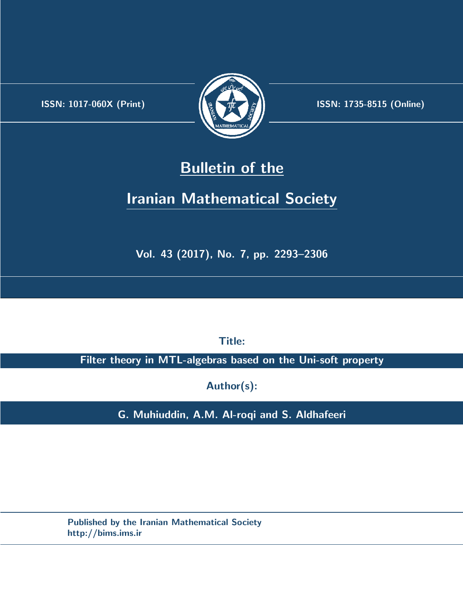.



**ISSN:** 1017-060X (Print)  $\left(\frac{1}{2}\right)$   $\frac{1}{2}$   $\frac{1}{2}$   $\frac{1}{2}$  **ISSN:** 1735-8515 (Online)

# **Bulletin of the**

# **Iranian Mathematical Society**

**Vol. 43 (2017), No. 7, pp. 2293–2306**

**Title:**

**Filter theory in MTL-algebras based on the Uni-soft property**

**Author(s):**

**G. Muhiuddin, A.M. Al-roqi and S. Aldhafeeri**

**Published by the Iranian Mathematical Society http://bims.ims.ir**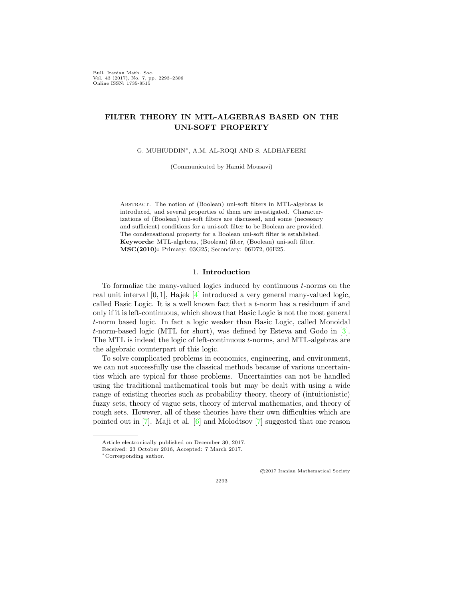Bull. Iranian Math. Soc. Vol. 43 (2017), No. 7, pp. 2293–2306 Online ISSN: 1735-8515

## **FILTER THEORY IN MTL-ALGEBRAS BASED ON THE UNI-SOFT PROPERTY**

G. MUHIUDDIN*∗*, A.M. AL-ROQI AND S. ALDHAFEERI

(Communicated by Hamid Mousavi)

Abstract. The notion of (Boolean) uni-soft filters in MTL-algebras is introduced, and several properties of them are investigated. Characterizations of (Boolean) uni-soft filters are discussed, and some (necessary and sufficient) conditions for a uni-soft filter to be Boolean are provided. The condensational property for a Boolean uni-soft filter is established. **Keywords:** MTL-algebras, (Boolean) filter, (Boolean) uni-soft filter. **MSC(2010):** Primary: 03G25; Secondary: 06D72, 06E25.

### 1. **Introduction**

To formalize the many-valued logics induced by continuous *t*-norms on the real unit interval [0*,* 1]*,* Hajek [[4\]](#page-14-0) introduced a very general many-valued logic, called Basic Logic. It is a well known fact that a *t*-norm has a residuum if and only if it is left-continuous, which shows that Basic Logic is not the most general *t*-norm based logic. In fact a logic weaker than Basic Logic, called Monoidal *t*-norm-based logic (MTL for short), was defined by Esteva and Godo in [[3\]](#page-14-1). The MTL is indeed the logic of left-continuous *t*-norms, and MTL-algebras are the algebraic counterpart of this logic.

To solve complicated problems in economics, engineering, and environment, we can not successfully use the classical methods because of various uncertainties which are typical for those problems. Uncertainties can not be handled using the traditional mathematical tools but may be dealt with using a wide range of existing theories such as probability theory, theory of (intuitionistic) fuzzy sets, theory of vague sets, theory of interval mathematics, and theory of rough sets. However, all of these theories have their own difficulties which are pointed out in [[7\]](#page-14-2). Maji et al. [\[6](#page-14-3)] and Molodtsov [[7](#page-14-2)] suggested that one reason

*⃝*c 2017 Iranian Mathematical Society

Article electronically published on December 30, 2017.

Received: 23 October 2016, Accepted: 7 March 2017.

*<sup>∗</sup>*Corresponding author.

<sup>2293</sup>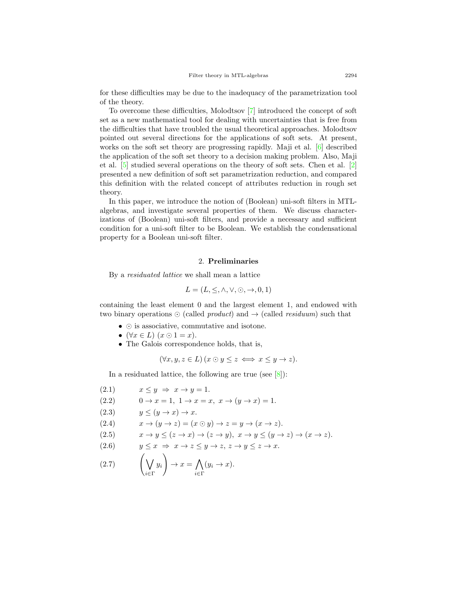for these difficulties may be due to the inadequacy of the parametrization tool of the theory.

To overcome these difficulties, Molodtsov [[7](#page-14-2)] introduced the concept of soft set as a new mathematical tool for dealing with uncertainties that is free from the difficulties that have troubled the usual theoretical approaches. Molodtsov pointed out several directions for the applications of soft sets. At present, works on the soft set theory are progressing rapidly. Maji et al. [[6](#page-14-3)] described the application of the soft set theory to a decision making problem. Also, Maji et al. [\[5](#page-14-4)] studied several operations on the theory of soft sets. Chen et al. [[2](#page-13-0)] presented a new definition of soft set parametrization reduction, and compared this definition with the related concept of attributes reduction in rough set theory.

In this paper, we introduce the notion of (Boolean) uni-soft filters in MTLalgebras, and investigate several properties of them. We discuss characterizations of (Boolean) uni-soft filters, and provide a necessary and sufficient condition for a uni-soft filter to be Boolean. We establish the condensational property for a Boolean uni-soft filter.

#### 2. **Preliminaries**

By a *residuated lattice* we shall mean a lattice

$$
L = (L, \leq, \land, \lor, \odot, \rightarrow, 0, 1)
$$

containing the least element 0 and the largest element 1*,* and endowed with two binary operations *⊙* (called *product*) and *→* (called *residuum*) such that

- *• ⊙* is associative, commutative and isotone.
- $(\forall x \in L)$   $(x \odot 1 = x)$ .
- The Galois correspondence holds, that is,

$$
(\forall x, y, z \in L) (x \odot y \leq z \iff x \leq y \to z).
$$

<span id="page-2-0"></span>In a residuated lattice, the following are true (see  $[8]$  $[8]$ ):

(2.1) 
$$
x \le y \Rightarrow x \rightarrow y = 1.
$$
  
\n(2.2) 
$$
0 \rightarrow x = 1, 1 \rightarrow x = x, x \rightarrow (y \rightarrow x) = 1.
$$
  
\n(2.3) 
$$
y \le (y \rightarrow x) \rightarrow x.
$$
  
\n(2.4) 
$$
x \rightarrow (y \rightarrow z) = (x \odot y) \rightarrow z = y \rightarrow (x \rightarrow z).
$$
  
\n(2.5) 
$$
x \rightarrow y \le (z \rightarrow x) \rightarrow (z \rightarrow y), x \rightarrow y \le (y \rightarrow z) \rightarrow (x \rightarrow z).
$$
  
\n(2.6) 
$$
y \le x \Rightarrow x \rightarrow z \le y \rightarrow z, z \rightarrow y \le z \rightarrow x.
$$
  
\n(2.7) 
$$
\left(\bigvee_{i \in \Gamma} y_i\right) \rightarrow x = \bigwedge_{i \in \Gamma} (y_i \rightarrow x).
$$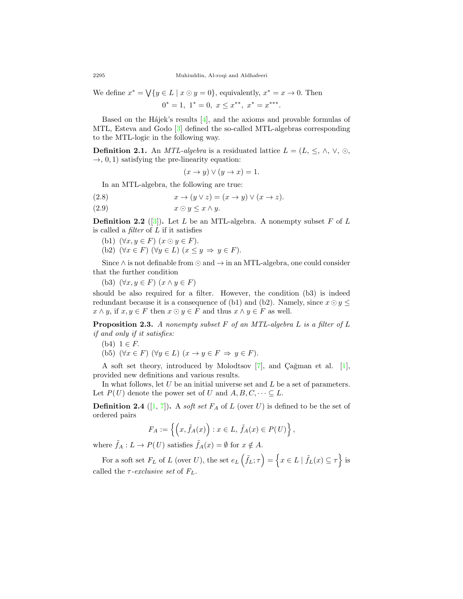We define  $x^* = \bigvee \{ y \in L \mid x \odot y = 0 \}$ , equivalently,  $x^* = x \rightarrow 0$ . Then

$$
0^* = 1, \ 1^* = 0, \ x \le x^{**}, \ x^* = x^{***}.
$$

Based on the H $a$ jek's results [[4\]](#page-14-0), and the axioms and provable formulas of MTL, Esteva and Godo [[3\]](#page-14-1) defined the so-called MTL-algebras corresponding to the MTL-logic in the following way.

**Definition 2.1.** An *MTL-algebra* is a residuated lattice  $L = (L, \leq, \land, \lor, \odot, \mathbb{R})$  $\rightarrow$ , 0, 1) satisfying the pre-linearity equation:

<span id="page-3-1"></span>
$$
(x \to y) \lor (y \to x) = 1.
$$

In an MTL-algebra, the following are true:

- (2.8)  $x \to (y \lor z) = (x \to y) \lor (x \to z).$
- (2.9)  $x \odot y \leq x \wedge y$ .

**Definition 2.2** ([\[3](#page-14-1)]). Let *L* be an MTL-algebra. A nonempty subset *F* of *L* is called a *filter* of *L* if it satisfies

- (b1)  $(\forall x, y \in F)$   $(x \odot y \in F)$ .
- (b2)  $(\forall x \in F)$   $(\forall y \in L)$   $(x \leq y \Rightarrow y \in F)$ .

Since *∧* is not definable from *⊙* and *→* in an MTL-algebra, one could consider that the further condition

(b3)  $(\forall x, y \in F)$   $(x \land y \in F)$ 

should be also required for a filter. However, the condition (b3) is indeed redundant because it is a consequence of (b1) and (b2). Namely, since  $x \odot y \leq$  $x \wedge y$ , if  $x, y \in F$  then  $x \odot y \in F$  and thus  $x \wedge y \in F$  as well.

<span id="page-3-0"></span>**Proposition 2.3.** *A nonempty subset F of an MTL-algebra L is a filter of L if and only if it satisfies:*

- (b4)  $1 \in F$ .
- (b5)  $(\forall x \in F)$   $(\forall y \in L)$   $(x \rightarrow y \in F \Rightarrow y \in F)$ .

A soft set theory, introduced by Molodtsov  $[7]$  $[7]$ , and Çağman et al.  $[1]$  $[1]$ , provided new definitions and various results.

In what follows, let *U* be an initial universe set and *L* be a set of parameters. Let  $P(U)$  denote the power set of *U* and  $A, B, C, \dots \subseteq L$ .

**Definition 2.4** ([\[1](#page-13-1), [7](#page-14-2)]). A *soft set*  $F_A$  of  $L$  (over  $U$ ) is defined to be the set of ordered pairs

$$
F_A := \left\{ \left( x, \tilde{f}_A(x) \right) : x \in L, \, \tilde{f}_A(x) \in P(U) \right\},\,
$$

where  $\tilde{f}_A : L \to P(U)$  satisfies  $\tilde{f}_A(x) = \emptyset$  for  $x \notin A$ .

For a soft set  $F_L$  of  $L$  (over  $U$ ), the set  $e_L(\tilde{f}_L;\tau) = \{x \in L \mid \tilde{f}_L(x) \subseteq \tau\}$  is called the  $\tau$ -exclusive set of  $F_L$ .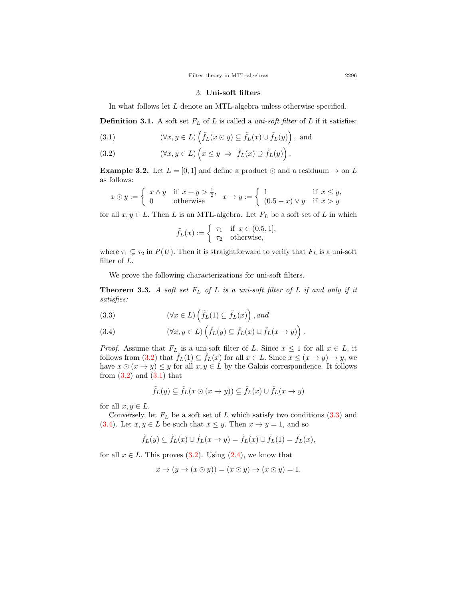#### 3. **Uni-soft filters**

In what follows let *L* denote an MTL-algebra unless otherwise specified.

**Definition 3.1.** A soft set  $F_L$  of  $L$  is called a *uni-soft filter* of  $L$  if it satisfies:

<span id="page-4-0"></span>(3.1) 
$$
(\forall x, y \in L) \left( \tilde{f}_L(x \odot y) \subseteq \tilde{f}_L(x) \cup \tilde{f}_L(y) \right), \text{ and}
$$

(3.2) 
$$
(\forall x, y \in L) \left( x \leq y \implies \tilde{f}_L(x) \supseteq \tilde{f}_L(y) \right).
$$

**Example 3.2.** Let  $L = [0, 1]$  and define a product  $\odot$  and a residuum  $\rightarrow$  on  $L$ as follows:

$$
x \odot y := \begin{cases} x \wedge y & \text{if } x + y > \frac{1}{2}, \\ 0 & \text{otherwise} \end{cases} x \to y := \begin{cases} 1 & \text{if } x \leq y, \\ (0.5 - x) \vee y & \text{if } x > y \end{cases}
$$

for all  $x, y \in L$ . Then *L* is an MTL-algebra. Let  $F_L$  be a soft set of *L* in which

$$
\tilde{f}_L(x) := \begin{cases} \tau_1 & \text{if } x \in (0.5, 1], \\ \tau_2 & \text{otherwise}, \end{cases}
$$

where  $\tau_1 \subsetneq \tau_2$  in  $P(U)$ . Then it is straightforward to verify that  $F_L$  is a uni-soft filter of *L.*

We prove the following characterizations for uni-soft filters.

<span id="page-4-2"></span>**Theorem 3.3.** *A soft set F<sup>L</sup> of L is a uni-soft filter of L if and only if it satisfies:*

<span id="page-4-1"></span>(3.3) 
$$
(\forall x \in L) \left(\tilde{f}_L(1) \subseteq \tilde{f}_L(x)\right), and
$$

(3.4) 
$$
(\forall x, y \in L) \left( \tilde{f}_L(y) \subseteq \tilde{f}_L(x) \cup \tilde{f}_L(x \to y) \right).
$$

*Proof.* Assume that  $F_L$  is a uni-soft filter of *L*. Since  $x \leq 1$  for all  $x \in L$ , it follows from ([3.2](#page-4-0)) that  $\hat{f}_L(1) \subseteq \hat{f}_L(x)$  for all  $x \in L$ . Since  $x \leq (x \to y) \to y$ , we have  $x \odot (x \rightarrow y) \leq y$  for all  $x, y \in L$  by the Galois correspondence. It follows from  $(3.2)$  $(3.2)$  $(3.2)$  and  $(3.1)$  $(3.1)$  $(3.1)$  that

$$
\tilde{f}_L(y) \subseteq \tilde{f}_L(x \odot (x \to y)) \subseteq \tilde{f}_L(x) \cup \tilde{f}_L(x \to y)
$$

for all  $x, y \in L$ .

Conversely, let  $F_L$  be a soft set of  $L$  which satisfy two conditions  $(3.3)$  and ([3.4\)](#page-4-1). Let  $x, y \in L$  be such that  $x \leq y$ . Then  $x \to y = 1$ , and so

$$
\tilde{f}_L(y)\subseteq \tilde{f}_L(x)\cup \tilde{f}_L(x\rightarrow y)=\tilde{f}_L(x)\cup \tilde{f}_L(1)=\tilde{f}_L(x),
$$

for all  $x \in L$ . This proves  $(3.2)$  $(3.2)$ . Using  $(2.4)$ , we know that

$$
x \to (y \to (x \odot y)) = (x \odot y) \to (x \odot y) = 1.
$$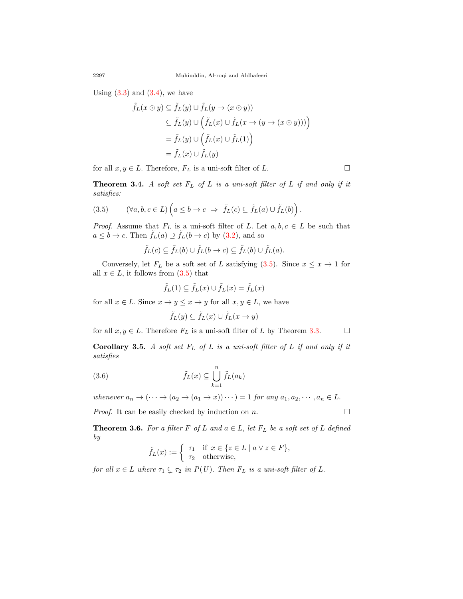Using  $(3.3)$  and  $(3.4)$ , we have

$$
\tilde{f}_L(x \odot y) \subseteq \tilde{f}_L(y) \cup \tilde{f}_L(y \to (x \odot y))
$$
  
\n
$$
\subseteq \tilde{f}_L(y) \cup (\tilde{f}_L(x) \cup \tilde{f}_L(x \to (y \to (x \odot y))))
$$
  
\n
$$
= \tilde{f}_L(y) \cup (\tilde{f}_L(x) \cup \tilde{f}_L(1))
$$
  
\n
$$
= \tilde{f}_L(x) \cup \tilde{f}_L(y)
$$

for all  $x, y \in L$ . Therefore,  $F_L$  is a uni-soft filter of  $L$ .

**Theorem 3.4.** *A soft set F<sup>L</sup> of L is a uni-soft filter of L if and only if it satisfies:*

<span id="page-5-0"></span>(3.5) 
$$
(\forall a, b, c \in L) \left( a \leq b \to c \implies \tilde{f}_L(c) \subseteq \tilde{f}_L(a) \cup \tilde{f}_L(b) \right).
$$

*Proof.* Assume that  $F_L$  is a uni-soft filter of *L*. Let  $a, b, c \in L$  be such that  $a \leq b \to c$ . Then  $\tilde{f}_L(a) \supseteq \tilde{f}_L(b \to c)$  by ([3.2](#page-4-0)), and so

$$
\tilde{f}_L(c) \subseteq \tilde{f}_L(b) \cup \tilde{f}_L(b \to c) \subseteq \tilde{f}_L(b) \cup \tilde{f}_L(a).
$$

Conversely, let  $F_L$  be a soft set of *L* satisfying [\(3.5\)](#page-5-0). Since  $x \leq x \to 1$  for all  $x \in L$ , it follows from  $(3.5)$  $(3.5)$  $(3.5)$  that

$$
\tilde{f}_L(1) \subseteq \tilde{f}_L(x) \cup \tilde{f}_L(x) = \tilde{f}_L(x)
$$

for all  $x \in L$ . Since  $x \to y \leq x \to y$  for all  $x, y \in L$ , we have

$$
\tilde{f}_L(y) \subseteq \tilde{f}_L(x) \cup \tilde{f}_L(x \to y)
$$

for all  $x, y \in L$ . Therefore  $F_L$  is a uni-soft filter of *L* by Theorem [3.3](#page-4-2). □

**Corollary 3.5.** *A soft set F<sup>L</sup> of L is a uni-soft filter of L if and only if it satisfies*

(3.6) 
$$
\tilde{f}_L(x) \subseteq \bigcup_{k=1}^n \tilde{f}_L(a_k)
$$

*whenever*  $a_n \to (\cdots \to (a_2 \to (a_1 \to x)) \cdots) = 1$  *for any*  $a_1, a_2, \cdots, a_n \in L$ .

*Proof.* It can be easily checked by induction on  $n$ . □

**Theorem 3.6.** For a filter  $F$  of  $L$  and  $a \in L$ , let  $F_L$  be a soft set of  $L$  defined *by*

$$
\tilde{f}_L(x) := \begin{cases} \tau_1 & \text{if } x \in \{z \in L \mid a \vee z \in F\}, \\ \tau_2 & \text{otherwise,} \end{cases}
$$

*for all*  $x \in L$  *where*  $\tau_1 \subsetneq \tau_2$  *in*  $P(U)$ *. Then*  $F_L$  *is a uni-soft filter of*  $L$ *.*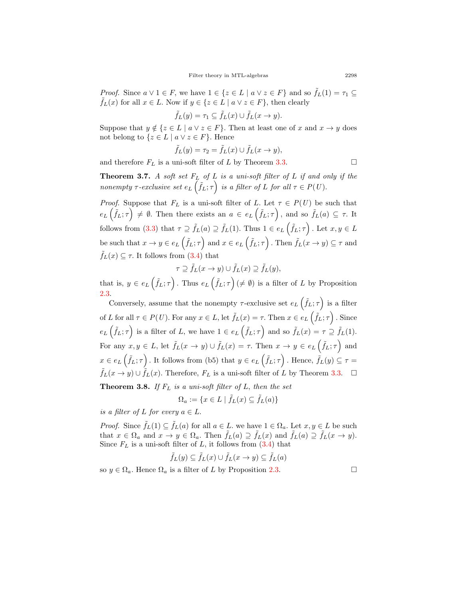*Proof.* Since  $a \vee 1 \in F$ , we have  $1 \in \{z \in L \mid a \vee z \in F\}$  and so  $\tilde{f}_L(1) = \tau_1 \subseteq$ *f*<sup>*L*</sup>(*x*) for all *x* ∈ *L*. Now if *y* ∈ {*z* ∈ *L* | *a*  $\vee$  *z* ∈ *F*}, then clearly

$$
\tilde{f}_L(y) = \tau_1 \subseteq \tilde{f}_L(x) \cup \tilde{f}_L(x \to y).
$$

Suppose that  $y \notin \{z \in L \mid a \vee z \in F\}$ . Then at least one of *x* and  $x \to y$  does not belong to  $\{z \in L \mid a \vee z \in F\}$ . Hence

$$
\tilde{f}_L(y) = \tau_2 = \tilde{f}_L(x) \cup \tilde{f}_L(x \to y),
$$

and therefore  $F_L$  is a uni-soft filter of *L* by Theorem [3.3.](#page-4-2) □

<span id="page-6-0"></span>**Theorem 3.7.** *A soft set F<sup>L</sup> of L is a uni-soft filter of L if and only if the nonempty*  $\tau$ -exclusive set  $e_L(\tilde{f}_L; \tau)$  is a filter of *L* for all  $\tau \in P(U)$ .

*Proof.* Suppose that  $F_L$  is a uni-soft filter of *L*. Let  $\tau \in P(U)$  be such that  $e_L(\tilde{f}_L;\tau) \neq \emptyset$ . Then there exists an  $a \in e_L(\tilde{f}_L;\tau)$ , and so  $\tilde{f}_L(a) \subseteq \tau$ . It follows from ([3.3](#page-4-1)) that  $\tau \supseteq \tilde{f}_L(a) \supseteq \tilde{f}_L(1)$ *.* Thus  $1 \in e_L(\tilde{f}_L; \tau)$ *.* Let  $x, y \in L$ be such that  $x \to y \in e_L(\tilde{f}_L; \tau)$  and  $x \in e_L(\tilde{f}_L; \tau)$ . Then  $\tilde{f}_L(x \to y) \subseteq \tau$  and  $f_L(x) \subseteq \tau$ . It follows from ([3.4](#page-4-1)) that

$$
\tau \supseteq \tilde{f}_L(x \to y) \cup \tilde{f}_L(x) \supseteq \tilde{f}_L(y),
$$

that is,  $y \in e_L(\tilde{f}_L; \tau)$ . Thus  $e_L(\tilde{f}_L; \tau) \neq \emptyset$  is a filter of *L* by Proposition [2.3.](#page-3-0)

Conversely, assume that the nonempty  $\tau$ -exclusive set  $e_L(\tilde{f}_L;\tau)$  is a filter of L for all  $\tau \in P(U)$ . For any  $x \in L$ , let  $\tilde{f}_L(x) = \tau$ . Then  $x \in e_L(\tilde{f}_L; \tau)$ . Since  $e_L(\tilde{f}_L;\tau)$  is a filter of L, we have  $1 \in e_L(\tilde{f}_L;\tau)$  and so  $\tilde{f}_L(x) = \tau \supseteq \tilde{f}_L(1)$ . For any  $x, y \in L$ , let  $\tilde{f}_L(x \to y) \cup \tilde{f}_L(x) = \tau$ . Then  $x \to y \in e_L(\tilde{f}_L; \tau)$  and  $x \in e_L(\tilde{f}_L; \tau)$ . It follows from (b5) that  $y \in e_L(\tilde{f}_L; \tau)$ . Hence,  $\tilde{f}_L(y) \subseteq \tau =$  $\tilde{f}_L(x \to y) \cup \tilde{f}_L(x)$ . Therefore,  $F_L$  is a uni-soft filter of *L* by Theorem [3.3.](#page-4-2) □

**Theorem 3.8.** *If F<sup>L</sup> is a uni-soft filter of L, then the set*

$$
\Omega_a := \{ x \in L \mid \tilde{f}_L(x) \subseteq \tilde{f}_L(a) \}
$$

*is a filter of*  $L$  *for every*  $a \in L$ .

*Proof.* Since  $\tilde{f}_L(1) \subseteq \tilde{f}_L(a)$  for all  $a \in L$ . we have  $1 \in \Omega_a$ . Let  $x, y \in L$  be such that  $x \in \Omega_a$  and  $x \to y \in \Omega_a$ . Then  $f_L(a) \supseteq f_L(x)$  and  $f_L(a) \supseteq f_L(x \to y)$ . Since  $F_L$  is a uni-soft filter of  $L$ , it follows from  $(3.4)$  $(3.4)$  $(3.4)$  that

$$
\tilde{f}_L(y) \subseteq \tilde{f}_L(x) \cup \tilde{f}_L(x \to y) \subseteq \tilde{f}_L(a)
$$

so  $y \in \Omega_a$ . Hence  $\Omega_a$  is a filter of *L* by Proposition [2.3.](#page-3-0)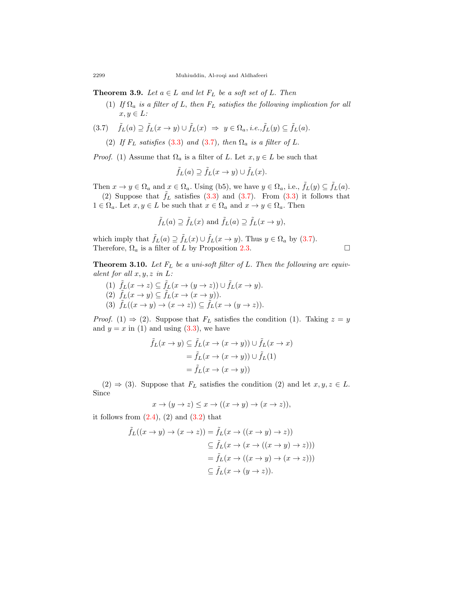**Theorem 3.9.** *Let*  $a \in L$  *and let*  $F_L$  *be a soft set of*  $L$ *. Then* 

(1) *If*  $\Omega_a$  *is a filter of L, then*  $F_L$  *satisfies the following implication for all*  $x, y \in L$ *:* 

$$
(3.7) \quad \tilde{f}_L(a) \supseteq \tilde{f}_L(x \to y) \cup \tilde{f}_L(x) \Rightarrow y \in \Omega_a, \, i.e., \tilde{f}_L(y) \subseteq \tilde{f}_L(a).
$$

<span id="page-7-0"></span>(2) If  $F_L$  *satisfies* [\(3.3](#page-4-1)) *and* ([3.7](#page-7-0))*, then*  $\Omega_a$  *is a filter of L*.

*Proof.* (1) Assume that  $\Omega_a$  is a filter of *L*. Let  $x, y \in L$  be such that

$$
\tilde{f}_L(a) \supseteq \tilde{f}_L(x \to y) \cup \tilde{f}_L(x).
$$

Then  $x \to y \in \Omega_a$  and  $x \in \Omega_a$ . Using (b5), we have  $y \in \Omega_a$ , i.e.,  $\tilde{f}_L(y) \subseteq \tilde{f}_L(a)$ .

(2) Suppose that  $\tilde{f}_L$  satisfies [\(3.3\)](#page-4-1) and ([3.7\)](#page-7-0). From [\(3.3](#page-4-1)) it follows that  $1 \in \Omega_a$ . Let  $x, y \in L$  be such that  $x \in \Omega_a$  and  $x \to y \in \Omega_a$ . Then

$$
\tilde{f}_L(a) \supseteq \tilde{f}_L(x)
$$
 and  $\tilde{f}_L(a) \supseteq \tilde{f}_L(x \to y)$ ,

which imply that  $\tilde{f}_L(a) \supseteq \tilde{f}_L(x) \cup \tilde{f}_L(x \to y)$ . Thus  $y \in \Omega_a$  by ([3.7](#page-7-0)). Therefore,  $\Omega_a$  is a filter of *L* by Proposition [2.3](#page-3-0). □

<span id="page-7-1"></span>**Theorem 3.10.** *Let F<sup>L</sup> be a uni-soft filter of L. Then the following are equivalent for all x, y, z in L:*

- $(1)$   $\tilde{f}_L(x \to z) \subseteq \tilde{f}_L(x \to (y \to z)) \cup \tilde{f}_L(x \to y).$ (2)  $\tilde{f}_L(x \to y) \subseteq \tilde{f}_L(x \to (x \to y)).$
- $(3)$   $\tilde{f}_L((x \to y) \to (x \to z)) \subseteq \tilde{f}_L(x \to (y \to z)).$

*Proof.* (1)  $\Rightarrow$  (2). Suppose that  $F_L$  satisfies the condition (1). Taking  $z = y$ and  $y = x$  in (1) and using  $(3.3)$  $(3.3)$ , we have

$$
\tilde{f}_L(x \to y) \subseteq \tilde{f}_L(x \to (x \to y)) \cup \tilde{f}_L(x \to x)
$$

$$
= \tilde{f}_L(x \to (x \to y)) \cup \tilde{f}_L(1)
$$

$$
= \tilde{f}_L(x \to (x \to y))
$$

 $(2) \Rightarrow (3)$ . Suppose that  $F_L$  satisfies the condition  $(2)$  and let  $x, y, z \in L$ . Since

$$
x \to (y \to z) \le x \to ((x \to y) \to (x \to z)),
$$

it follows from  $(2.4)$ ,  $(2)$  and  $(3.2)$  that

$$
\tilde{f}_L((x \to y) \to (x \to z)) = \tilde{f}_L(x \to ((x \to y) \to z))
$$
  

$$
\subseteq \tilde{f}_L(x \to (x \to ((x \to y) \to z)))
$$
  

$$
= \tilde{f}_L(x \to ((x \to y) \to (x \to z)))
$$
  

$$
\subseteq \tilde{f}_L(x \to (y \to z)).
$$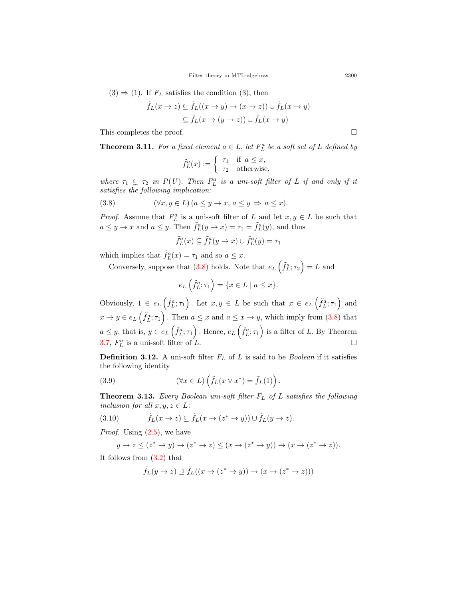$(3) \Rightarrow (1)$ . If  $F_L$  satisfies the condition  $(3)$ , then

$$
\tilde{f}_L(x \to z) \subseteq \tilde{f}_L((x \to y) \to (x \to z)) \cup \tilde{f}_L(x \to y)
$$

$$
\subseteq \tilde{f}_L(x \to (y \to z)) \cup \tilde{f}_L(x \to y)
$$

This completes the proof.  $\Box$ 

**Theorem 3.11.** For a fixed element  $a \in L$ , let  $F_L^a$  be a soft set of  $L$  defined by

$$
\tilde{f}_L^a(x) := \begin{cases} \tau_1 & \text{if } a \le x, \\ \tau_2 & \text{otherwise,} \end{cases}
$$

*where*  $\tau_1 \subsetneq \tau_2$  *in*  $P(U)$ *. Then*  $F_L^a$  *is a uni-soft filter of L if and only if it satisfies the following implication:*

(3.8) 
$$
(\forall x, y \in L) (a \le y \to x, a \le y \Rightarrow a \le x).
$$

*Proof.* Assume that  $F_L^a$  is a uni-soft filter of *L* and let  $x, y \in L$  be such that  $a \leq y \to x$  and  $a \leq y$ . Then  $\tilde{f}_L^a(y \to x) = \tau_1 = \tilde{f}_L^a(y)$ , and thus

<span id="page-8-0"></span>
$$
\tilde{f}_L^a(x) \subseteq \tilde{f}_L^a(y \to x) \cup \tilde{f}_L^a(y) = \tau_1
$$

which implies that  $\tilde{f}_L^a(x) = \tau_1$  and so  $a \leq x$ .

Conversely, suppose that  $(3.8)$  $(3.8)$  holds. Note that  $e_L\left(\tilde{f}_L^a;\tau_2\right) = L$  and

$$
e_L\left(\tilde{f}_L^a; \tau_1\right) = \{x \in L \mid a \le x\}.
$$

Obviously,  $1 \in e_L(\tilde{f}_L^a; \tau_1)$ . Let  $x, y \in L$  be such that  $x \in e_L(\tilde{f}_L^a; \tau_1)$  and  $x \to y \in e_L(\tilde{f}_L^a; \tau_1)$ . Then  $a \leq x$  and  $a \leq x \to y$ , which imply from [\(3.8\)](#page-8-0) that  $a \leq y$ , that is,  $y \in e_L(\tilde{f}_L^a; \tau_1)$ . Hence,  $e_L(\tilde{f}_L^a; \tau_1)$  is a filter of L. By Theorem [3.7,](#page-6-0)  $F_L^a$  is a uni-soft filter of *L*.

**Definition 3.12.** A uni-soft filter *F<sup>L</sup>* of *L* is said to be *Boolean* if it satisfies the following identity

(3.9) 
$$
(\forall x \in L) \left( \tilde{f}_L(x \vee x^*) = \tilde{f}_L(1) \right).
$$

<span id="page-8-2"></span>**Theorem 3.13.** *Every Boolean uni-soft filter F<sup>L</sup> of L satisfies the following inclusion for all*  $x, y, z \in L$ *:* 

(3.10) 
$$
\tilde{f}_L(x \to z) \subseteq \tilde{f}_L(x \to (z^* \to y)) \cup \tilde{f}_L(y \to z).
$$

*Proof.* Using [\(2.5](#page-2-0)), we have

<span id="page-8-1"></span>
$$
y \to z \le (z^* \to y) \to (z^* \to z) \le (x \to (z^* \to y)) \to (x \to (z^* \to z)).
$$

It follows from ([3.2\)](#page-4-0) that

$$
\tilde{f}_L(y \to z) \supseteq \tilde{f}_L((x \to (z^* \to y)) \to (x \to (z^* \to z)))
$$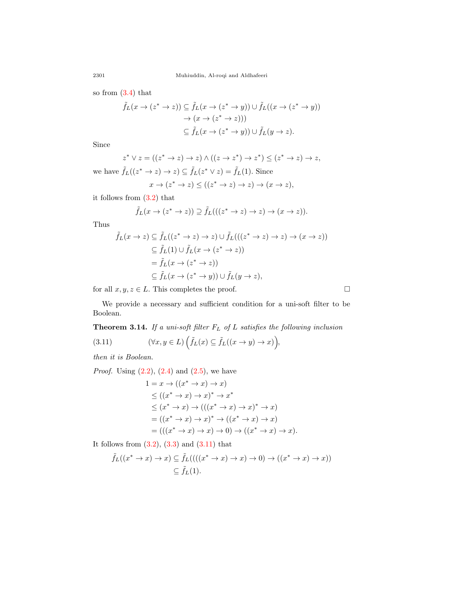so from ([3.4](#page-4-1)) that

$$
\tilde{f}_L(x \to (z^* \to z)) \subseteq \tilde{f}_L(x \to (z^* \to y)) \cup \tilde{f}_L((x \to (z^* \to y)))
$$

$$
\to (x \to (z^* \to z)))
$$

$$
\subseteq \tilde{f}_L(x \to (z^* \to y)) \cup \tilde{f}_L(y \to z).
$$

Since

$$
z^* \vee z = ((z^* \to z) \to z) \wedge ((z \to z^*) \to z^*) \leq (z^* \to z) \to z,
$$

we have  $\tilde{f}_L((z^* \to z) \to z) \subseteq \tilde{f}_L(z^* \vee z) = \tilde{f}_L(1)$ *.* Since

$$
x \to (z^* \to z) \le ((z^* \to z) \to z) \to (x \to z),
$$

it follows from [\(3.2\)](#page-4-0) that

$$
\tilde{f}_L(x \to (z^* \to z)) \supseteq \tilde{f}_L(((z^* \to z) \to z) \to (x \to z)).
$$

Thus

$$
\tilde{f}_L(x \to z) \subseteq \tilde{f}_L((z^* \to z) \to z) \cup \tilde{f}_L(((z^* \to z) \to z) \to (x \to z))
$$
  

$$
\subseteq \tilde{f}_L(1) \cup \tilde{f}_L(x \to (z^* \to z))
$$
  

$$
= \tilde{f}_L(x \to (z^* \to z))
$$
  

$$
\subseteq \tilde{f}_L(x \to (z^* \to y)) \cup \tilde{f}_L(y \to z),
$$

for all  $x, y, z \in L$ . This completes the proof.  $\Box$ 

We provide a necessary and sufficient condition for a uni-soft filter to be Boolean.

<span id="page-9-1"></span>**Theorem 3.14.** *If a uni-soft filter F<sup>L</sup> of L satisfies the following inclusion*

(3.11) 
$$
(\forall x, y \in L) \left( \tilde{f}_L(x) \subseteq \tilde{f}_L((x \to y) \to x) \right),
$$

*then it is Boolean.*

*Proof.* Using  $(2.2)$ ,  $(2.4)$  $(2.4)$  and  $(2.5)$  $(2.5)$ , we have

<span id="page-9-0"></span>
$$
1 = x \rightarrow ((x^* \rightarrow x) \rightarrow x)
$$
  
\n
$$
\leq ((x^* \rightarrow x) \rightarrow x)^* \rightarrow x^*
$$
  
\n
$$
\leq (x^* \rightarrow x) \rightarrow (((x^* \rightarrow x) \rightarrow x)^* \rightarrow x)
$$
  
\n
$$
= ((x^* \rightarrow x) \rightarrow x)^* \rightarrow ((x^* \rightarrow x) \rightarrow x)
$$
  
\n
$$
= (((x^* \rightarrow x) \rightarrow x) \rightarrow 0) \rightarrow ((x^* \rightarrow x) \rightarrow x).
$$

It follows from  $(3.2)$  $(3.2)$ ,  $(3.3)$  $(3.3)$  $(3.3)$  and  $(3.11)$  $(3.11)$  $(3.11)$  that

$$
\tilde{f}_L((x^* \to x) \to x) \subseteq \tilde{f}_L(((x^* \to x) \to x) \to 0) \to ((x^* \to x) \to x))
$$
  

$$
\subseteq \tilde{f}_L(1).
$$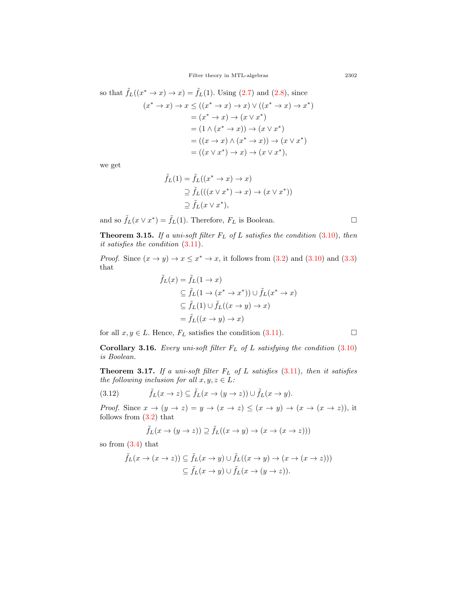so that 
$$
\tilde{f}_L((x^* \to x) \to x) = \tilde{f}_L(1)
$$
. Using (2.7) and (2.8), since  
\n
$$
(x^* \to x) \to x \le ((x^* \to x) \to x) \lor ((x^* \to x) \to x^*)
$$
\n
$$
= (x^* \to x) \to (x \lor x^*)
$$
\n
$$
= (1 \land (x^* \to x)) \to (x \lor x^*)
$$
\n
$$
= ((x \to x) \land (x^* \to x)) \to (x \lor x^*)
$$
\n
$$
= ((x \lor x^*) \to x) \to (x \lor x^*),
$$

we get

$$
\tilde{f}_L(1) = \tilde{f}_L((x^* \to x) \to x)
$$
  
\n
$$
\supseteq \tilde{f}_L(((x \lor x^*) \to x) \to (x \lor x^*))
$$
  
\n
$$
\supseteq \tilde{f}_L(x \lor x^*),
$$

and so  $\tilde{f}_L(x \vee x^*) = \tilde{f}_L(1)$ . Therefore,  $F_L$  is Boolean.  $\Box$ 

<span id="page-10-1"></span>**Theorem 3.15.** *If a uni-soft filter F<sup>L</sup> of L satisfies the condition* ([3.10](#page-8-1))*, then it satisfies the condition* [\(3.11\)](#page-9-0)*.*

*Proof.* Since  $(x \to y) \to x \leq x^* \to x$ , it follows from  $(3.2)$  $(3.2)$  and  $(3.10)$  $(3.10)$  $(3.10)$  and  $(3.3)$  $(3.3)$  $(3.3)$ that

$$
\tilde{f}_L(x) = \tilde{f}_L(1 \to x)
$$
\n
$$
\subseteq \tilde{f}_L(1 \to (x^* \to x^*)) \cup \tilde{f}_L(x^* \to x)
$$
\n
$$
\subseteq \tilde{f}_L(1) \cup \tilde{f}_L((x \to y) \to x)
$$
\n
$$
= \tilde{f}_L((x \to y) \to x)
$$

for all  $x, y \in L$ . Hence,  $F_L$  satisfies the condition [\(3.11\)](#page-9-0). □

**Corollary 3.16.** *Every uni-soft filter F<sup>L</sup> of L satisfying the condition* ([3.10](#page-8-1)) *is Boolean.*

**Theorem 3.17.** *If a uni-soft filter F<sup>L</sup> of L satisfies* ([3.11\)](#page-9-0)*, then it satisfies the following inclusion for all*  $x, y, z \in L$ *:* 

(3.12) 
$$
\tilde{f}_L(x \to z) \subseteq \tilde{f}_L(x \to (y \to z)) \cup \tilde{f}_L(x \to y).
$$

*Proof.* Since  $x \to (y \to z) = y \to (x \to z) \leq (x \to y) \to (x \to (x \to z))$ , it follows from [\(3.2\)](#page-4-0) that

<span id="page-10-0"></span>
$$
\tilde{f}_L(x \to (y \to z)) \supseteq \tilde{f}_L((x \to y) \to (x \to (x \to z)))
$$

so from ([3.4](#page-4-1)) that

$$
\tilde{f}_L(x \to (x \to z)) \subseteq \tilde{f}_L(x \to y) \cup \tilde{f}_L((x \to y) \to (x \to (x \to z)))
$$
  

$$
\subseteq \tilde{f}_L(x \to y) \cup \tilde{f}_L(x \to (y \to z)).
$$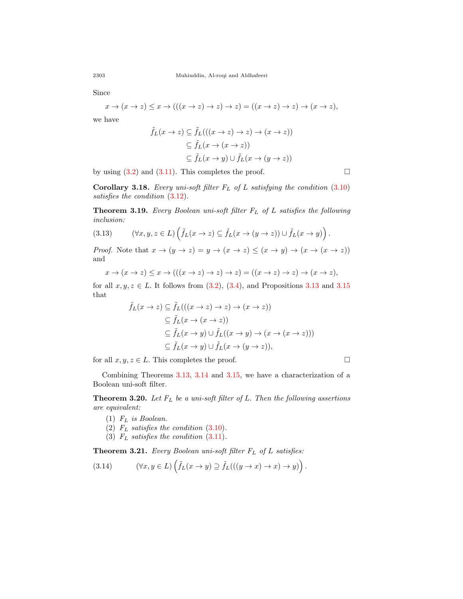Since

$$
x \to (x \to z) \leq x \to (((x \to z) \to z) \to z) = ((x \to z) \to z) \to (x \to z),
$$

we have

$$
\tilde{f}_L(x \to z) \subseteq \tilde{f}_L(((x \to z) \to z) \to (x \to z))
$$
  

$$
\subseteq \tilde{f}_L(x \to (x \to z))
$$
  

$$
\subseteq \tilde{f}_L(x \to y) \cup \tilde{f}_L(x \to (y \to z))
$$

by using  $(3.2)$  $(3.2)$  and  $(3.11)$ . This completes the proof. □

**Corollary 3.18.** *Every uni-soft filter F<sup>L</sup> of L satisfying the condition* ([3.10](#page-8-1)) *satisfies the condition* [\(3.12\)](#page-10-0)*.*

<span id="page-11-3"></span>**Theorem 3.19.** *Every Boolean uni-soft filter F<sup>L</sup> of L satisfies the following inclusion:*

(3.13) 
$$
(\forall x, y, z \in L) \left( \tilde{f}_L(x \to z) \subseteq \tilde{f}_L(x \to (y \to z)) \cup \tilde{f}_L(x \to y) \right).
$$

*Proof.* Note that  $x \to (y \to z) = y \to (x \to z) \le (x \to y) \to (x \to (x \to z))$ and

$$
x \to (x \to z) \leq x \to (((x \to z) \to z) \to z) = ((x \to z) \to z) \to (x \to z),
$$

for all  $x, y, z \in L$ . It follows from  $(3.2), (3.4),$  $(3.2), (3.4),$  $(3.2), (3.4),$  $(3.2), (3.4),$  and Propositions [3.13](#page-8-2) and [3.15](#page-10-1) that

$$
\tilde{f}_L(x \to z) \subseteq \tilde{f}_L(((x \to z) \to z) \to (x \to z))
$$
  
\n
$$
\subseteq \tilde{f}_L(x \to (x \to z))
$$
  
\n
$$
\subseteq \tilde{f}_L(x \to y) \cup \tilde{f}_L((x \to y) \to (x \to (x \to z)))
$$
  
\n
$$
\subseteq \tilde{f}_L(x \to y) \cup \tilde{f}_L(x \to (y \to z)),
$$

for all  $x, y, z \in L$ . This completes the proof. □

Combining Theorems [3.13,](#page-8-2) [3.14](#page-9-1) and [3.15](#page-10-1), we have a characterization of a Boolean uni-soft filter.

<span id="page-11-0"></span>**Theorem 3.20.** *Let F<sup>L</sup> be a uni-soft filter of L. Then the following assertions are equivalent:*

- (1) *F<sup>L</sup> is Boolean.*
- (2)  $F_L$  *satisfies the condition* ([3.10\)](#page-8-1).
- (3)  $F_L$  *satisfies the condition* ([3.11\)](#page-9-0).

<span id="page-11-2"></span>**Theorem 3.21.** *Every Boolean uni-soft filter F<sup>L</sup> of L satisfies:*

<span id="page-11-1"></span>(3.14) 
$$
(\forall x, y \in L) \left( \tilde{f}_L(x \to y) \supseteq \tilde{f}_L(((y \to x) \to x) \to y) \right).
$$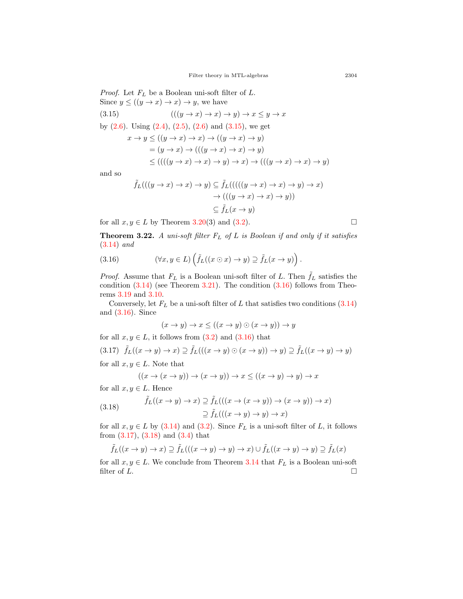<span id="page-12-0"></span>*Proof.* Let *F<sup>L</sup>* be a Boolean uni-soft filter of *L.* Since  $y \leq ((y \to x) \to x) \to y$ , we have (3.15)  $((y \rightarrow x) \rightarrow x) \rightarrow y) \rightarrow x \leq y \rightarrow x$ by  $(2.6)$  $(2.6)$ . Using  $(2.4)$  $(2.4)$  $(2.4)$ ,  $(2.5)$  $(2.5)$ ,  $(2.6)$  and  $(3.15)$ , we get  $x \rightarrow y \leq ((y \rightarrow x) \rightarrow x) \rightarrow ((y \rightarrow x) \rightarrow y)$  $=(y \rightarrow x) \rightarrow (((y \rightarrow x) \rightarrow x) \rightarrow y)$  $\le$  (((((y → x) → x) → y) → x) → (((y → x) → x) → y)

and so

$$
\tilde{f}_L(((y \to x) \to x) \to y) \subseteq \tilde{f}_L(((y \to x) \to x) \to y) \to x)
$$

$$
\to (((y \to x) \to x) \to y))
$$

$$
\subseteq \tilde{f}_L(x \to y)
$$

for all  $x, y \in L$  by Theorem [3.20](#page-11-0)(3) and ([3.2](#page-4-0)).

**Theorem 3.22.** *A uni-soft filter F<sup>L</sup> of L is Boolean if and only if it satisfies* ([3.14\)](#page-11-1) *and*

<span id="page-12-1"></span>(3.16) 
$$
(\forall x, y \in L) \left( \tilde{f}_L((x \odot x) \to y) \supseteq \tilde{f}_L(x \to y) \right).
$$

*Proof.* Assume that  $F_L$  is a Boolean uni-soft filter of *L*. Then  $f_L$  satisfies the condition  $(3.14)$  $(3.14)$  (see Theorem [3.21](#page-11-2)). The condition  $(3.16)$  follows from Theorems [3.19](#page-11-3) and [3.10](#page-7-1).

Conversely, let  $F_L$  be a uni-soft filter of  $L$  that satisfies two conditions  $(3.14)$  $(3.14)$  $(3.14)$ and [\(3.16](#page-12-1)). Since

$$
(x \to y) \to x \le ((x \to y) \odot (x \to y)) \to y
$$

for all  $x, y \in L$ , it follows from  $(3.2)$  $(3.2)$  $(3.2)$  and  $(3.16)$  $(3.16)$  that

<span id="page-12-2"></span>(3.17)  $\tilde{f}_L((x \to y) \to x) \supset \tilde{f}_L((x \to y) \odot (x \to y)) \to y) \supset \tilde{f}_L((x \to y) \to y)$ 

for all  $x, y \in L$ . Note that

$$
((x \to (x \to y)) \to (x \to y)) \to x \le ((x \to y) \to y) \to x
$$

for all  $x, y \in L$ . Hence

<span id="page-12-3"></span>(3.18) 
$$
\tilde{f}_L((x \to y) \to x) \supseteq \tilde{f}_L(((x \to (x \to y)) \to (x \to y)) \to x)
$$

$$
\supseteq \tilde{f}_L(((x \to y) \to y) \to x)
$$

for all  $x, y \in L$  by ([3.14](#page-11-1)) and ([3.2](#page-4-0)). Since  $F_L$  is a uni-soft filter of *L*, it follows from ([3.17](#page-12-2)), [\(3.18\)](#page-12-3) and [\(3.4\)](#page-4-1) that

$$
\tilde{f}_L((x \to y) \to x) \supseteq \tilde{f}_L(((x \to y) \to y) \to x) \cup \tilde{f}_L((x \to y) \to y) \supseteq \tilde{f}_L(x)
$$

for all  $x, y \in L$ . We conclude from Theorem [3.14](#page-9-1) that  $F_L$  is a Boolean uni-soft filter of  $L$ .

$$
\Box
$$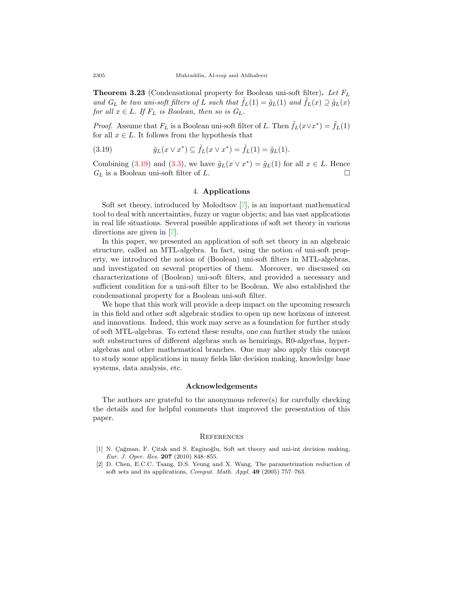**Theorem 3.23** (Condensational property for Boolean uni-soft filter)**.** *Let F<sup>L</sup> and*  $G_L$  *be two uni-soft filters of L such that*  $\tilde{f}_L(1) = \tilde{g}_L(1)$  *and*  $\tilde{f}_L(x) \supseteq \tilde{g}_L(x)$ *for all*  $x \in L$ *. If*  $F_L$  *is Boolean, then so is*  $G_L$ *.* 

*Proof.* Assume that  $F_L$  is a Boolean uni-soft filter of *L*. Then  $\tilde{f}_L(x \vee x^*) = \tilde{f}_L(1)$ for all  $x \in L$ . It follows from the hypothesis that

<span id="page-13-2"></span>(3.19) 
$$
\tilde{g}_L(x \vee x^*) \subseteq \tilde{f}_L(x \vee x^*) = \tilde{f}_L(1) = \tilde{g}_L(1).
$$

Combining ([3.19\)](#page-13-2) and ([3.3](#page-4-1)), we have  $\tilde{g}_L(x \vee x^*) = \tilde{g}_L(1)$  for all  $x \in L$ . Hence  $G_L$  is a Boolean uni-soft filter of *L*.

### 4. **Applications**

Soft set theory, introduced by Molodtsov [\[7](#page-14-2)], is an important mathematical tool to deal with uncertainties, fuzzy or vague objects; and has vast applications in real life situations. Several possible applications of soft set theory in various directions are given in [[7\]](#page-14-2).

In this paper, we presented an application of soft set theory in an algebraic structure, called an MTL-algebra. In fact, using the notion of uni-soft property, we introduced the notion of (Boolean) uni-soft filters in MTL-algebras, and investigated on several properties of them. Moreover, we discussed on characterizations of (Boolean) uni-soft filters, and provided a necessary and sufficient condition for a uni-soft filter to be Boolean. We also established the condensational property for a Boolean uni-soft filter.

We hope that this work will provide a deep impact on the upcoming research in this field and other soft algebraic studies to open up new horizons of interest and innovations. Indeed, this work may serve as a foundation for further study of soft MTL-algebras. To extend these results, one can further study the union soft substructures of different algebras such as hemirings, R0-algerbas, hyperalgebras and other mathematical branches. One may also apply this concept to study some applications in many fields like decision making, knowledge base systems, data analysis, etc.

### **Acknowledgements**

The authors are grateful to the anonymous referee(s) for carefully checking the details and for helpful comments that improved the presentation of this paper.

#### **REFERENCES**

- <span id="page-13-1"></span>[1] N. Çağman, F. Çitak and S. Enginoğlu, Soft set theory and uni-int decision making, *Eur. J. Oper. Res.* **207** (2010) 848–855.
- <span id="page-13-0"></span>[2] D. Chen, E.C.C. Tsang, D.S. Yeung and X. Wang, The parametrization reduction of soft sets and its applications, *Comput. Math. Appl.* **49** (2005) 757–763.